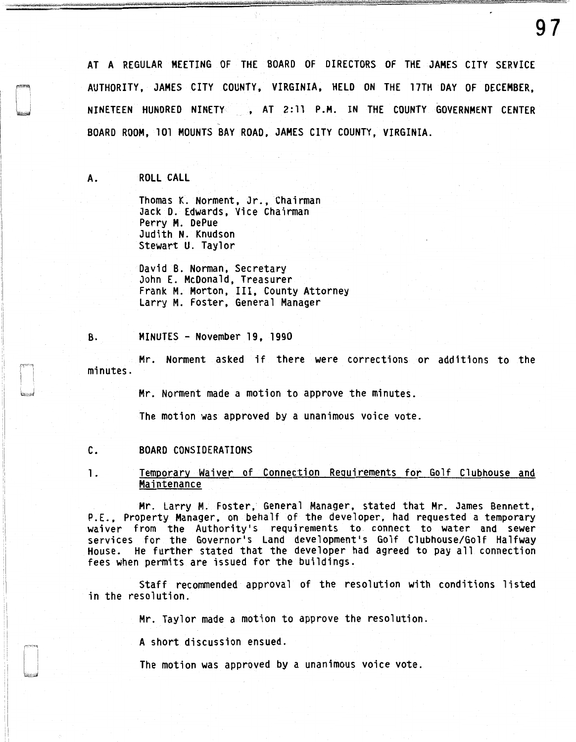AT A REGULAR MEETING OF THE BOARD OF DIRECTORS OF THE JAMES CITY SERVICE AUTHORITY, JAMES CITY COUNTY, VIRGINIA, HELD ON THE 17TH DAY OF DECEMBER, NINETEEN HUNDRED NINETY , AT 2:11 P.M. IN THE COUNTY GOVERNMENT CENTER BOARD ROOM, 101 MOUNTS BAY ROAD, JAMES CITY COUNTY, VIRGINIA.

A. ROLL CALL

Thomas K. Norment, Jr., Chairman Jack D. Edwards, Vice Chairman Perry M. OePue Judith N. Knudson Stewart U. Taylor

David B. Norman, Secretary John E. McDonald, Treasurer Frank M. Morton, III, County Attorney Larry M. Foster, General Manager

B. MINUTES - November 19, 1990

Mr. Norment asked if there were corrections or additions to the minutes.

Mr. Norment made a motion to approve the minutes.

The motion was approved by a unanimous voice vote.

# C. BOARD CONSIDERATIONS

1. Temporary Waiver of Connection Requirements for Golf Clubhouse and Maintenance

Mr. Larry M. Foster, General Manager, stated that Mr. James Bennett, P.E., Property Manager, on behalf of the developer, had requested a temporary waiver from the Authority's requirements to connect to water and sewer services for the Governor's Land development's Golf Clubhouse/Golf Halfway<br>House. He further stated that the developer had agreed to pay all connection fees when permits are issued for the buildings.

Staff recommended approval of the resolution with conditions listed in the resolution.

Mr. Taylor made a motion to approve the resolution.

A short discussion ensued.

The motion was approved by a unanimous voice vote.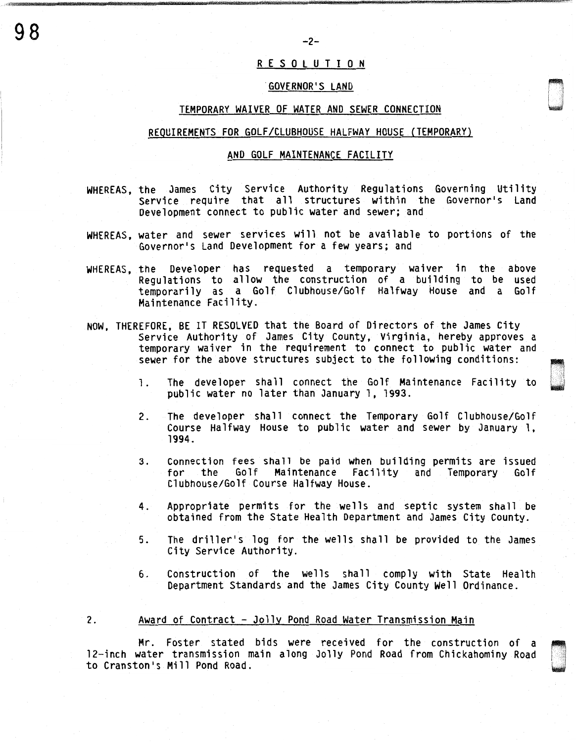# R E S 0 L U T I 0 N

#### .GOVERNOR'S LANO

### TEMPORARY WAIVER OF WATER ANO SEWER CONNECTION

# REQUIREMENTS FOR GOLF/CLUBHOUSE HALFWAY HOUSE (TEMPORARY)

## ANO GOLF MAINTENANCE FACILITY

- WHEREAS, the James City Service Authority Regulations Governing Utility Service require that all structures within the Governor's Land Development connect to public water and sewer; and
- WHEREAS, water and sewer services will not be available to portions of the Governor's Land Development for a few years; and
- WHEREAS, the Developer has requested a temporary waiver in the above Regulations to allow the construction of a building to be used temporarily as a Golf Clubhouse/Golf Halfway House and a Golf Maintenance Facility.
- NOW, THEREFORE, BE IT RESOLVED that the Board of Directors of the James City Service Authority of James City County, Virginia, hereby approves a temporary waiver in the requirement to connect to public water and sewer for the above structures subject to the following conditions:
	- 1. The developer shall connect the Golf Maintenance Facility to public water no later than January 1, 1993.
	- 2. The developer shall connect the Temporary Golf Clubhouse/Golf Course Halfway House to public water and sewer by January 1, 1994.
	- 3. Connection fees shall be paid when building permits are issued Maintenance Facility and Temporary Clubhouse/Golf Course Halfway House.
	- 4. Appropriate permits for the wells and septic system shall be obtained from the State Health Department and James City County.
	- 5. The driller's log for the wells shall be provided to the James City Service Authority.
	- 6. Construction of the wells shall comply with State Health Department Standards and the James City County Well Ordinance.

#### 2. Award of Contract - Jolly Pond Road Water Transmission Main

Mr. Foster stated bids were received for the construction of a 12-inch water transmission main along Jolly Pond Road from Chickahominy Road to Cranston's Mill Pond Road.

 $98$   $-2$ -

*·w*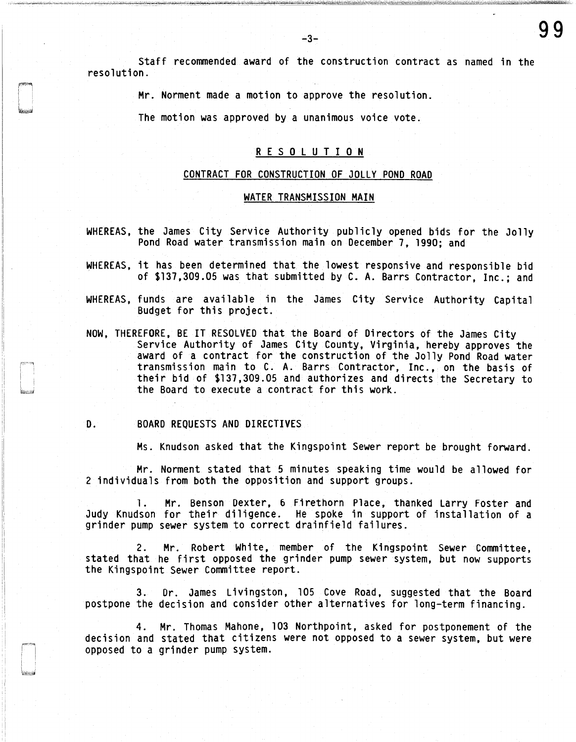Staff recommended award of the construction contract as named in the resolution.

Mr. Norment made a motion to approve the resolution.

The motion was approved by a unanimous voice vote.

# R E S 0 L U T I 0 N

#### CONTRACT FOR CONSTRUCTION OF JOLLY POND ROAD

#### WATER TRANSMISSION MAIN

- WHEREAS, the James City Service Authority publicly opened bids for the Jolly Pond Road water transmission main on December 7, 1990; and
- WHEREAS, it has been determined that the lowest responsive and responsible bid of \$137,309.05 was that submitted by C. A. Barrs Contractor, Inc.; and
- WHEREAS, funds are available in the James City Service Authority Capital Budget for this project.
- NOW, THEREFORE, BE IT RESOLVED that the Board of Directors of the James City Service Authority of James City County, Virginia, hereby approves the award of a contract for the construction of the Jolly Pond Road water transmission main to C. A. Barrs Contractor, Inc., on the basis of their bid of \$137,309.05 and authorizes and directs the Secretary to the Board to execute a contract for this work.

#### D. BOARD REQUESTS AND DIRECTIVES

Ms. Knudson asked that the Kingspoint Sewer report be brought forward.

Mr. Norment stated that 5 minutes speaking time would be allowed for 2 individuals from both the opposition and support groups.

1. Mr. Benson Dexter, 6 Firethorn Place, thanked Larry Foster and Judy Knudson for their diligence. He spoke in support of installation of a grinder pump sewer system to correct drainfield failures.

2. Mr. Robert White, member of the Kingspoint Sewer Committee, stated that he first opposed the grinder pump sewer system, but now supports the Kingspoint Sewer Committee report.

3. Dr. James Livingston, 105 Cove Road, suggested that the Board postpone the decision and consider other alternatives for long-term financing.

4. Mr. Thomas Mahone, 103 Northpoint, asked for postponement of the decision and stated that citizens were not opposed to a sewer system, but were opposed to a grinder pump system.